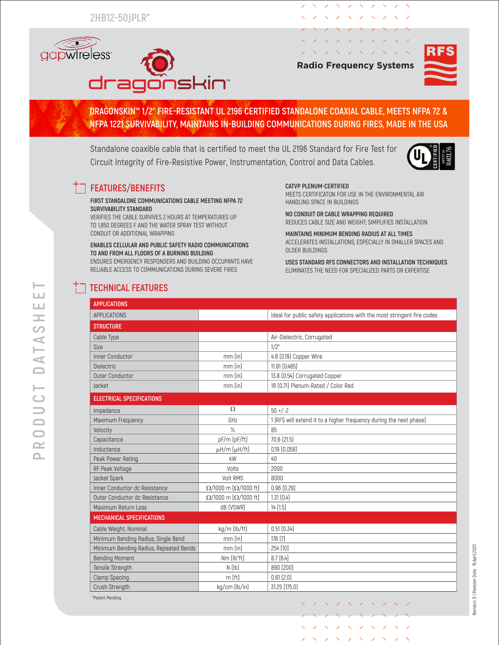**2HB12-50JPLR\***



| <b>Radio Frequency Systems</b> |  |  |  |  |                                                                                                                                                                                                                                                                                                                                                                                                                                                                                                                                                                         |  |  |  |
|--------------------------------|--|--|--|--|-------------------------------------------------------------------------------------------------------------------------------------------------------------------------------------------------------------------------------------------------------------------------------------------------------------------------------------------------------------------------------------------------------------------------------------------------------------------------------------------------------------------------------------------------------------------------|--|--|--|
|                                |  |  |  |  | $\gamma$ $\lambda$ $\gamma$ $\lambda$ $\gamma$ $\lambda$ $\gamma$ $\lambda$ $\gamma$ $\lambda$                                                                                                                                                                                                                                                                                                                                                                                                                                                                          |  |  |  |
|                                |  |  |  |  | $\textcolor{red}{\diagup} \textcolor{red}{\diagup} \textcolor{red}{\diagup} \textcolor{red}{\diagup} \textcolor{red}{\diagup} \textcolor{red}{\diagup} \textcolor{red}{\diagup} \textcolor{red}{\diagup} \textcolor{red}{\diagup} \textcolor{red}{\diagup} \textcolor{red}{\diagup} \textcolor{red}{\diagup} \textcolor{red}{\diagup} \textcolor{red}{\diagup} \textcolor{red}{\diagup} \textcolor{red}{\diagup} \textcolor{red}{\diagup} \textcolor{red}{\diagup} \textcolor{red}{\diagup} \textcolor{red}{\diagup} \textcolor{red}{\diagup} \textcolor{red}{\diagup}$ |  |  |  |
|                                |  |  |  |  | / \ / \ / \ / \ / \                                                                                                                                                                                                                                                                                                                                                                                                                                                                                                                                                     |  |  |  |
|                                |  |  |  |  |                                                                                                                                                                                                                                                                                                                                                                                                                                                                                                                                                                         |  |  |  |
|                                |  |  |  |  | ノ ヽ ノ ヽ ノ ヽ ノ ヽ ノ ヽ                                                                                                                                                                                                                                                                                                                                                                                                                                                                                                                                                     |  |  |  |

MEETS CERTIFICATON FOR USE IN THE ENVIRONMENTAL AIR

REDUCES CABLE SIZE AND WEIGHT; SIMPLIFIES INSTALLATION **MAINTAINS MINIMUM BENDING RADIUS AT ALL TIMES**

ACCELERATES INSTALLATIONS, ESPECIALLY IN SMALLER SPACES AND

**USES STANDARD RFS CONNECTORS AND INSTALLATION TECHNIQUES** ELIMINATES THE NEED FOR SPECIALIZED PARTS OR EXPERTISE

**NO CONDUIT OR CABLE WRAPPING REQUIRED**

 $\mathcal{L} \times \mathcal{N}$ 

 $\lambda$ 



### **DRAGONSKIN™ 1/2'' FIRE-RESISTANT UL 2196 CERTIFIED STANDALONE COAXIAL CABLE, MEETS NFPA 72 & NFPA 1221 SURVIVABILITY, MAINTAINS IN-BUILDING COMMUNICATIONS DURING FIRES, MADE IN THE USA**

**CATVP PLENUM-CERTIFIED**

OLDER BUILDINGS

HANDLING SPACE IN BUILDINGS

Standalone coaxible cable that is certified to meet the UL 2196 Standard for Fire Test for Circuit Integrity of Fire-Resistive Power, Instrumentation, Control and Data Cables.



## **FEATURES/BENEFITS**

**FIRST STANDALONE COMMUNICATIONS CABLE MEETING NFPA 72 SURVIVABILITY STANDARD**

VERIFIES THE CABLE SURVIVES 2 HOURS AT TEMPERATURES UP TO 1,850 DEGREES F AND THE WATER SPRAY TEST WITHOUT CONDUIT OR ADDITIONAL WRAPPING

#### **ENABLES CELLULAR AND PUBLIC SAFETY RADIO COMMUNICATIONS TO AND FROM ALL FLOORS OF A BURNING BUILDING**  ENSURES EMERGENCY RESPONDERS AND BUILDING OCCUPANTS HAVE

RELIABLE ACCESS TO COMMUNICATIONS DURING SEVERE FIRES

Crush Strength kg/cm (lb/in) 31.25 (175.0)

# **TECHNICAL FEATURES**

\*Patent-Pending

### **APPLICATIONS** APPLICATIONS **Ideal for public safety applications with the most stringent fire codes STRUCTURE** Cable Type **Air-Dielectric, Corrugated** Size  $\vert$  1/2" Inner Conductor mm (in) 4.8 (0.19) Copper Wire Dielectric mm (in) 11.81 (0.465) Outer Conductor **and Conductor** music mm (in) 13.8 (0.54) Corrugated Copper Jacket mm (in) 18 (0.71) Plenum-Rated / Color Red **ELECTRICAL SPECIFICATIONS** Impedance  $\Omega$  50 +/-2 Maximum Frequency **Maximum Frequency GHz** 6Hz 1 (RFS will extend it to a higher frequency during the next phase) Velocity % 85 Capacitance  $pF/m (pF/ft)$  70.6 (21.5) Inductance  $\mu$ H/m  $(\mu$ H/ft) 0.19 (0.058) Peak Power Rating **Community Community Community Community** Reak Power Rating RF Peak Voltage Volts 2000 Jacket Spark **Volt RMS** 8000 Inner Conductor dc Resistance  $\Omega/1000 \text{ m} (\Omega/1000 \text{ ft})$  0.96 (0.29) Outer Conductor dc Resistance  $\Omega/1000 \text{ m} (\Omega/1000 \text{ ft})$  1.31 (0.4) Maximum Return Loss dB (VSWR) 14 (1.5) **MECHANICAL SPECIFICATIONS** Cable Weight, Nominal **kg/m** (lb/ft) 0.51 (0.34) Minimum Bending Radius, Single Bend mm (in) 178 (7) Minimum Bending Radius, Repeated Bends | mm (in) | 254 (10) Bending Moment Nm (lb\*ft) 8.7 (6.4) Tensile Strength N (Ib) 890 (200) Clamp Spacing m (ft) and m (ft) and m (ft) and m (ft) and m (ft) and m (ft) and m (ft) and m (ft) and m (ft) and m (ft) and m (ft) and m (ft) and m (ft) and m (ft) and m (ft) and m (ft) and m (ft) and m (ft) and m (ft) and

Revision: D | Revision Date: 16.April.2020 Revision: D | Revision Date: 16.April.2020